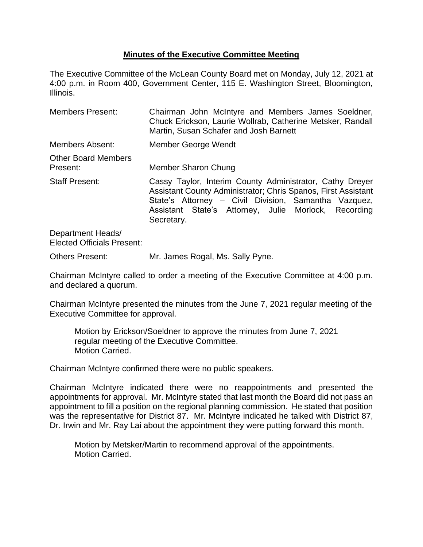# **Minutes of the Executive Committee Meeting**

The Executive Committee of the McLean County Board met on Monday, July 12, 2021 at 4:00 p.m. in Room 400, Government Center, 115 E. Washington Street, Bloomington, Illinois.

| <b>Members Present:</b>                | Chairman John McIntyre and Members James Soeldner,<br>Chuck Erickson, Laurie Wollrab, Catherine Metsker, Randall<br>Martin, Susan Schafer and Josh Barnett                                                                                              |  |  |
|----------------------------------------|---------------------------------------------------------------------------------------------------------------------------------------------------------------------------------------------------------------------------------------------------------|--|--|
| Members Absent:                        | Member George Wendt                                                                                                                                                                                                                                     |  |  |
| <b>Other Board Members</b><br>Present: | Member Sharon Chung                                                                                                                                                                                                                                     |  |  |
| <b>Staff Present:</b>                  | Cassy Taylor, Interim County Administrator, Cathy Dreyer<br>Assistant County Administrator; Chris Spanos, First Assistant<br>State's Attorney – Civil Division, Samantha Vazquez,<br>Assistant State's Attorney, Julie Morlock, Recording<br>Secretary. |  |  |
| Donartmont Hoade                       |                                                                                                                                                                                                                                                         |  |  |

Department Heads/ Elected Officials Present:

Others Present: Mr. James Rogal, Ms. Sally Pyne.

Chairman McIntyre called to order a meeting of the Executive Committee at 4:00 p.m. and declared a quorum.

Chairman McIntyre presented the minutes from the June 7, 2021 regular meeting of the Executive Committee for approval.

Motion by Erickson/Soeldner to approve the minutes from June 7, 2021 regular meeting of the Executive Committee. Motion Carried.

Chairman McIntyre confirmed there were no public speakers.

Chairman McIntyre indicated there were no reappointments and presented the appointments for approval. Mr. McIntyre stated that last month the Board did not pass an appointment to fill a position on the regional planning commission. He stated that position was the representative for District 87. Mr. McIntyre indicated he talked with District 87, Dr. Irwin and Mr. Ray Lai about the appointment they were putting forward this month.

Motion by Metsker/Martin to recommend approval of the appointments. Motion Carried.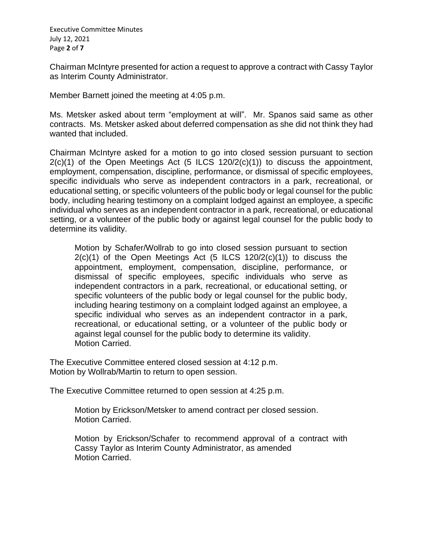Executive Committee Minutes July 12, 2021 Page **2** of **7**

Chairman McIntyre presented for action a request to approve a contract with Cassy Taylor as Interim County Administrator.

Member Barnett joined the meeting at 4:05 p.m.

Ms. Metsker asked about term "employment at will". Mr. Spanos said same as other contracts. Ms. Metsker asked about deferred compensation as she did not think they had wanted that included.

Chairman McIntyre asked for a motion to go into closed session pursuant to section  $2(c)(1)$  of the Open Meetings Act (5 ILCS 120/2(c)(1)) to discuss the appointment, employment, compensation, discipline, performance, or dismissal of specific employees, specific individuals who serve as independent contractors in a park, recreational, or educational setting, or specific volunteers of the public body or legal counsel for the public body, including hearing testimony on a complaint lodged against an employee, a specific individual who serves as an independent contractor in a park, recreational, or educational setting, or a volunteer of the public body or against legal counsel for the public body to determine its validity.

Motion by Schafer/Wollrab to go into closed session pursuant to section  $2(c)(1)$  of the Open Meetings Act  $(5$  ILCS  $120/2(c)(1))$  to discuss the appointment, employment, compensation, discipline, performance, or dismissal of specific employees, specific individuals who serve as independent contractors in a park, recreational, or educational setting, or specific volunteers of the public body or legal counsel for the public body, including hearing testimony on a complaint lodged against an employee, a specific individual who serves as an independent contractor in a park, recreational, or educational setting, or a volunteer of the public body or against legal counsel for the public body to determine its validity. Motion Carried.

The Executive Committee entered closed session at 4:12 p.m. Motion by Wollrab/Martin to return to open session.

The Executive Committee returned to open session at 4:25 p.m.

Motion by Erickson/Metsker to amend contract per closed session. Motion Carried.

Motion by Erickson/Schafer to recommend approval of a contract with Cassy Taylor as Interim County Administrator, as amended Motion Carried.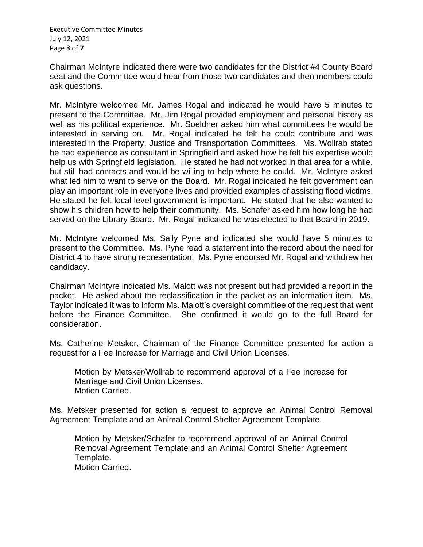Executive Committee Minutes July 12, 2021 Page **3** of **7**

Chairman McIntyre indicated there were two candidates for the District #4 County Board seat and the Committee would hear from those two candidates and then members could ask questions.

Mr. McIntyre welcomed Mr. James Rogal and indicated he would have 5 minutes to present to the Committee. Mr. Jim Rogal provided employment and personal history as well as his political experience. Mr. Soeldner asked him what committees he would be interested in serving on. Mr. Rogal indicated he felt he could contribute and was interested in the Property, Justice and Transportation Committees. Ms. Wollrab stated he had experience as consultant in Springfield and asked how he felt his expertise would help us with Springfield legislation. He stated he had not worked in that area for a while, but still had contacts and would be willing to help where he could. Mr. McIntyre asked what led him to want to serve on the Board. Mr. Rogal indicated he felt government can play an important role in everyone lives and provided examples of assisting flood victims. He stated he felt local level government is important. He stated that he also wanted to show his children how to help their community. Ms. Schafer asked him how long he had served on the Library Board. Mr. Rogal indicated he was elected to that Board in 2019.

Mr. McIntyre welcomed Ms. Sally Pyne and indicated she would have 5 minutes to present to the Committee. Ms. Pyne read a statement into the record about the need for District 4 to have strong representation. Ms. Pyne endorsed Mr. Rogal and withdrew her candidacy.

Chairman McIntyre indicated Ms. Malott was not present but had provided a report in the packet. He asked about the reclassification in the packet as an information item. Ms. Taylor indicated it was to inform Ms. Malott's oversight committee of the request that went before the Finance Committee. She confirmed it would go to the full Board for consideration.

Ms. Catherine Metsker, Chairman of the Finance Committee presented for action a request for a Fee Increase for Marriage and Civil Union Licenses.

Motion by Metsker/Wollrab to recommend approval of a Fee increase for Marriage and Civil Union Licenses. Motion Carried.

Ms. Metsker presented for action a request to approve an Animal Control Removal Agreement Template and an Animal Control Shelter Agreement Template.

Motion by Metsker/Schafer to recommend approval of an Animal Control Removal Agreement Template and an Animal Control Shelter Agreement Template. Motion Carried.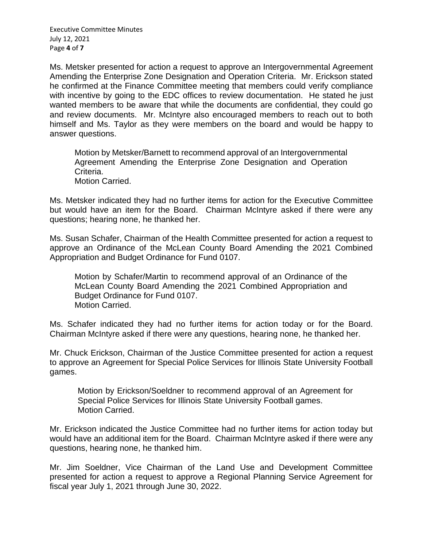Executive Committee Minutes July 12, 2021 Page **4** of **7**

Ms. Metsker presented for action a request to approve an Intergovernmental Agreement Amending the Enterprise Zone Designation and Operation Criteria. Mr. Erickson stated he confirmed at the Finance Committee meeting that members could verify compliance with incentive by going to the EDC offices to review documentation. He stated he just wanted members to be aware that while the documents are confidential, they could go and review documents. Mr. McIntyre also encouraged members to reach out to both himself and Ms. Taylor as they were members on the board and would be happy to answer questions.

Motion by Metsker/Barnett to recommend approval of an Intergovernmental Agreement Amending the Enterprise Zone Designation and Operation Criteria. Motion Carried.

Ms. Metsker indicated they had no further items for action for the Executive Committee but would have an item for the Board. Chairman McIntyre asked if there were any questions; hearing none, he thanked her.

Ms. Susan Schafer, Chairman of the Health Committee presented for action a request to approve an Ordinance of the McLean County Board Amending the 2021 Combined Appropriation and Budget Ordinance for Fund 0107.

Motion by Schafer/Martin to recommend approval of an Ordinance of the McLean County Board Amending the 2021 Combined Appropriation and Budget Ordinance for Fund 0107. Motion Carried.

Ms. Schafer indicated they had no further items for action today or for the Board. Chairman McIntyre asked if there were any questions, hearing none, he thanked her.

Mr. Chuck Erickson, Chairman of the Justice Committee presented for action a request to approve an Agreement for Special Police Services for Illinois State University Football games.

Motion by Erickson/Soeldner to recommend approval of an Agreement for Special Police Services for Illinois State University Football games. Motion Carried.

Mr. Erickson indicated the Justice Committee had no further items for action today but would have an additional item for the Board. Chairman McIntyre asked if there were any questions, hearing none, he thanked him.

Mr. Jim Soeldner, Vice Chairman of the Land Use and Development Committee presented for action a request to approve a Regional Planning Service Agreement for fiscal year July 1, 2021 through June 30, 2022.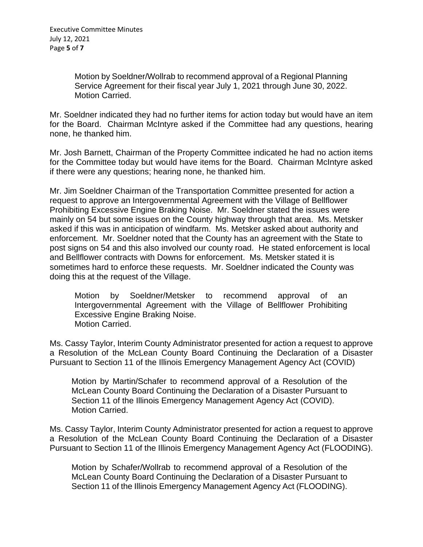Motion by Soeldner/Wollrab to recommend approval of a Regional Planning Service Agreement for their fiscal year July 1, 2021 through June 30, 2022. Motion Carried.

Mr. Soeldner indicated they had no further items for action today but would have an item for the Board. Chairman McIntyre asked if the Committee had any questions, hearing none, he thanked him.

Mr. Josh Barnett, Chairman of the Property Committee indicated he had no action items for the Committee today but would have items for the Board. Chairman McIntyre asked if there were any questions; hearing none, he thanked him.

Mr. Jim Soeldner Chairman of the Transportation Committee presented for action a request to approve an Intergovernmental Agreement with the Village of Bellflower Prohibiting Excessive Engine Braking Noise. Mr. Soeldner stated the issues were mainly on 54 but some issues on the County highway through that area. Ms. Metsker asked if this was in anticipation of windfarm. Ms. Metsker asked about authority and enforcement. Mr. Soeldner noted that the County has an agreement with the State to post signs on 54 and this also involved our county road. He stated enforcement is local and Bellflower contracts with Downs for enforcement. Ms. Metsker stated it is sometimes hard to enforce these requests. Mr. Soeldner indicated the County was doing this at the request of the Village.

Motion by Soeldner/Metsker to recommend approval of an Intergovernmental Agreement with the Village of Bellflower Prohibiting Excessive Engine Braking Noise. Motion Carried.

Ms. Cassy Taylor, Interim County Administrator presented for action a request to approve a Resolution of the McLean County Board Continuing the Declaration of a Disaster Pursuant to Section 11 of the Illinois Emergency Management Agency Act (COVID)

Motion by Martin/Schafer to recommend approval of a Resolution of the McLean County Board Continuing the Declaration of a Disaster Pursuant to Section 11 of the Illinois Emergency Management Agency Act (COVID). Motion Carried.

Ms. Cassy Taylor, Interim County Administrator presented for action a request to approve a Resolution of the McLean County Board Continuing the Declaration of a Disaster Pursuant to Section 11 of the Illinois Emergency Management Agency Act (FLOODING).

Motion by Schafer/Wollrab to recommend approval of a Resolution of the McLean County Board Continuing the Declaration of a Disaster Pursuant to Section 11 of the Illinois Emergency Management Agency Act (FLOODING).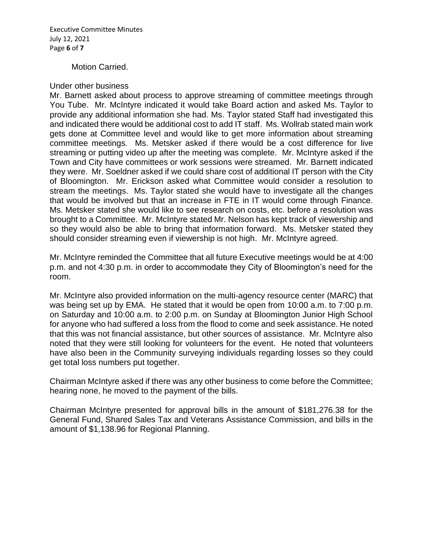Executive Committee Minutes July 12, 2021 Page **6** of **7**

## Motion Carried.

## Under other business

Mr. Barnett asked about process to approve streaming of committee meetings through You Tube. Mr. McIntyre indicated it would take Board action and asked Ms. Taylor to provide any additional information she had. Ms. Taylor stated Staff had investigated this and indicated there would be additional cost to add IT staff. Ms. Wollrab stated main work gets done at Committee level and would like to get more information about streaming committee meetings. Ms. Metsker asked if there would be a cost difference for live streaming or putting video up after the meeting was complete. Mr. McIntyre asked if the Town and City have committees or work sessions were streamed. Mr. Barnett indicated they were. Mr. Soeldner asked if we could share cost of additional IT person with the City of Bloomington. Mr. Erickson asked what Committee would consider a resolution to stream the meetings. Ms. Taylor stated she would have to investigate all the changes that would be involved but that an increase in FTE in IT would come through Finance. Ms. Metsker stated she would like to see research on costs, etc. before a resolution was brought to a Committee. Mr. McIntyre stated Mr. Nelson has kept track of viewership and so they would also be able to bring that information forward. Ms. Metsker stated they should consider streaming even if viewership is not high. Mr. McIntyre agreed.

Mr. McIntyre reminded the Committee that all future Executive meetings would be at 4:00 p.m. and not 4:30 p.m. in order to accommodate they City of Bloomington's need for the room.

Mr. McIntyre also provided information on the multi-agency resource center (MARC) that was being set up by EMA. He stated that it would be open from 10:00 a.m. to 7:00 p.m. on Saturday and 10:00 a.m. to 2:00 p.m. on Sunday at Bloomington Junior High School for anyone who had suffered a loss from the flood to come and seek assistance. He noted that this was not financial assistance, but other sources of assistance. Mr. McIntyre also noted that they were still looking for volunteers for the event. He noted that volunteers have also been in the Community surveying individuals regarding losses so they could get total loss numbers put together.

Chairman McIntyre asked if there was any other business to come before the Committee; hearing none, he moved to the payment of the bills.

Chairman McIntyre presented for approval bills in the amount of \$181,276.38 for the General Fund, Shared Sales Tax and Veterans Assistance Commission, and bills in the amount of \$1,138.96 for Regional Planning.